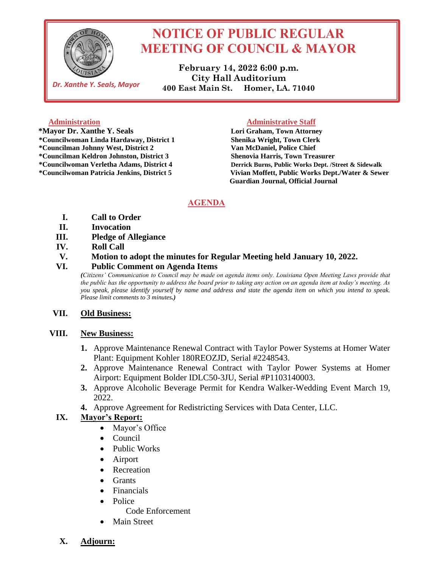

*Dr. Xanthe Y. Seals, Mayor*

# **NOTICE OF PUBLIC REGULAR MEETING OF COUNCIL & MAYOR**

**February 14, 2022 6:00 p.m. City Hall Auditorium 400 East Main St. Homer, LA. 71040**

 **\*Mayor Dr. Xanthe Y. Seals Lori Graham, Town Attorney \*Councilwoman Linda Hardaway, District 1 Shenika Wright, Town Clerk \*Councilman Johnny West, District 2 Van McDaniel, Police Chief \*Councilman Keldron Johnston, District 3 Shenovia Harris, Town Treasurer**

#### **Administration Administration Administrative Staff**

**\*Councilwoman Verletha Adams, District 4 Derrick Burns, Public Works Dept. /Street & Sidewalk \*Councilwoman Patricia Jenkins, District 5 Vivian Moffett, Public Works Dept./Water & Sewer Guardian Journal, Official Journal** 

# **AGENDA**

- **I. Call to Order**
- **II. Invocation**
- **III. Pledge of Allegiance**
- **IV. Roll Call**

#### **V. Motion to adopt the minutes for Regular Meeting held January 10, 2022.**

### **VI. Public Comment on Agenda Items**

*(Citizens' Communication to Council may be made on agenda items only. Louisiana Open Meeting Laws provide that the public has the opportunity to address the board prior to taking any action on an agenda item at today's meeting. As you speak, please identify yourself by name and address and state the agenda item on which you intend to speak. Please limit comments to 3 minutes.)*

### **VII. Old Business:**

### **VIII. New Business:**

- **1.** Approve Maintenance Renewal Contract with Taylor Power Systems at Homer Water Plant: Equipment Kohler 180REOZJD, Serial #2248543.
- **2.** Approve Maintenance Renewal Contract with Taylor Power Systems at Homer Airport: Equipment Bolder IDLC50-3JU, Serial #P1103140003.
- **3.** Approve Alcoholic Beverage Permit for Kendra Walker-Wedding Event March 19, 2022.
- **4.** Approve Agreement for Redistricting Services with Data Center, LLC.

# **IX. Mayor's Report:**

- Mayor's Office
- Council
- Public Works
- Airport
- Recreation
- Grants
- Financials
- Police
	- Code Enforcement
- Main Street
- **X. Adjourn:**